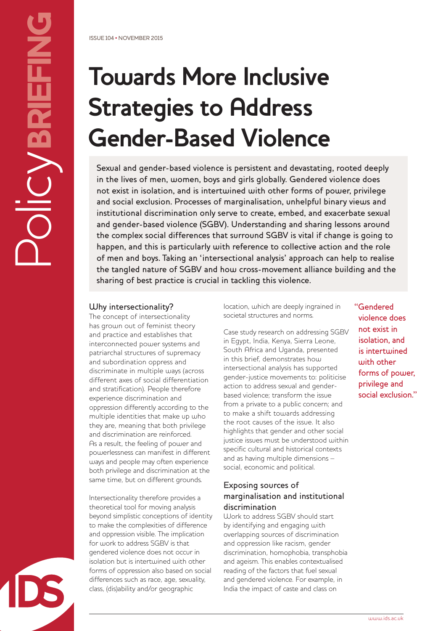PolicyBRIEFING

OICYBRIEFING

# **Towards More Inclusive Strategies to Address Gender-Based Violence**

Sexual and gender-based violence is persistent and devastating, rooted deeply in the lives of men, women, boys and girls globally. Gendered violence does not exist in isolation, and is intertwined with other forms of power, privilege and social exclusion. Processes of marginalisation, unhelpful binary views and institutional discrimination only serve to create, embed, and exacerbate sexual and gender-based violence (SGBV). Understanding and sharing lessons around the complex social differences that surround SGBV is vital if change is going to happen, and this is particularly with reference to collective action and the role of men and boys. Taking an 'intersectional analysis' approach can help to realise the tangled nature of SGBV and how cross-movement alliance building and the sharing of best practice is crucial in tackling this violence.

# Why intersectionality?

The concept of intersectionality has grown out of feminist theory and practice and establishes that interconnected power systems and patriarchal structures of supremacy and subordination oppress and discriminate in multiple ways (across different axes of social differentiation and stratification). People therefore experience discrimination and oppression differently according to the multiple identities that make up who they are, meaning that both privilege and discrimination are reinforced. As a result, the feeling of power and powerlessness can manifest in different ways and people may often experience both privilege and discrimination at the same time, but on different grounds.

Intersectionality therefore provides a theoretical tool for moving analysis beyond simplistic conceptions of identity to make the complexities of difference and oppression visible. The implication for work to address SGBV is that gendered violence does not occur in isolation but is intertwined with other forms of oppression also based on social differences such as race, age, sexuality, class, (dis)ability and/or geographic

location, which are deeply ingrained in societal structures and norms.

Case study research on addressing SGBV in Egypt, India, Kenya, Sierra Leone, South Africa and Uganda, presented in this brief, demonstrates how intersectional analysis has supported gender-justice movements to: politicise action to address sexual and genderbased violence; transform the issue from a private to a public concern; and to make a shift towards addressing the root causes of the issue. It also highlights that gender and other social justice issues must be understood within specific cultural and historical contexts and as having multiple dimensions – social, economic and political.

### Exposing sources of marginalisation and institutional discrimination

Work to address SGBV should start by identifying and engaging with overlapping sources of discrimination and oppression like racism, gender discrimination, homophobia, transphobia and ageism. This enables contextualised reading of the factors that fuel sexual and gendered violence. For example, in India the impact of caste and class on

"Gendered violence does not exist in isolation, and is intertwined with other forms of power, privilege and social exclusion."

www.ids.ac.uk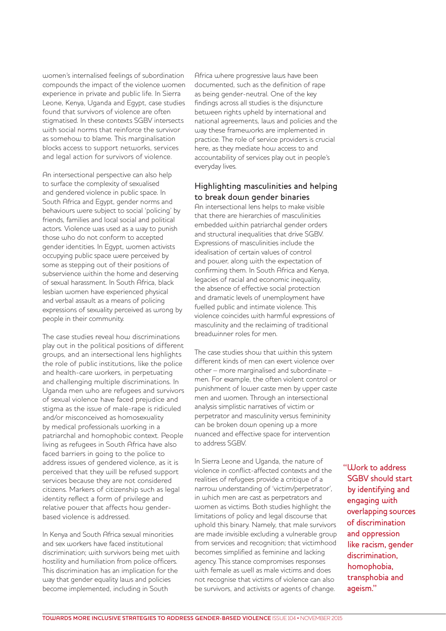women's internalised feelings of subordination compounds the impact of the violence women experience in private and public life. In Sierra Leone, Kenya, Uganda and Egypt, case studies found that survivors of violence are often stigmatised. In these contexts SGBV intersects with social norms that reinforce the survivor as somehow to blame. This marginalisation blocks access to support networks, services and legal action for survivors of violence.

An intersectional perspective can also help to surface the complexity of sexualised and gendered violence in public space. In South Africa and Egypt, gender norms and behaviours were subject to social 'policing' by friends, families and local social and political actors. Violence was used as a way to punish those who do not conform to accepted gender identities. In Egypt, women activists occupying public space were perceived by some as stepping out of their positions of subservience within the home and deserving of sexual harassment. In South Africa, black lesbian women have experienced physical and verbal assault as a means of policing expressions of sexuality perceived as wrong by people in their community.

The case studies reveal how discriminations play out in the political positions of different groups, and an intersectional lens highlights the role of public institutions, like the police and health-care workers, in perpetuating and challenging multiple discriminations. In Uganda men who are refugees and survivors of sexual violence have faced prejudice and stigma as the issue of male-rape is ridiculed and/or misconceived as homosexuality by medical professionals working in a patriarchal and homophobic context. People living as refugees in South Africa have also faced barriers in going to the police to address issues of gendered violence, as it is perceived that they will be refused support services because they are not considered citizens. Markers of citizenship such as legal identity reflect a form of privilege and relative power that affects how genderbased violence is addressed.

In Kenya and South Africa sexual minorities and sex workers have faced institutional discrimination; with survivors being met with hostility and humiliation from police officers. This discrimination has an implication for the way that gender equality laws and policies become implemented, including in South

Africa where progressive laws have been documented, such as the definition of rape as being gender-neutral. One of the key findings across all studies is the disjuncture between rights upheld by international and national agreements, laws and policies and the way these frameworks are implemented in practice. The role of service providers is crucial here, as they mediate how access to and accountability of services play out in people's everyday lives.

### Highlighting masculinities and helping to break down gender binaries

An intersectional lens helps to make visible that there are hierarchies of masculinities embedded within patriarchal gender orders and structural inequalities that drive SGBV. Expressions of masculinities include the idealisation of certain values of control and power, along with the expectation of confirming them. In South Africa and Kenya, legacies of racial and economic inequality, the absence of effective social protection and dramatic levels of unemployment have fuelled public and intimate violence. This violence coincides with harmful expressions of masculinity and the reclaiming of traditional breadwinner roles for men.

The case studies show that within this system different kinds of men can exert violence over other – more marginalised and subordinate – men. For example, the often violent control or punishment of lower caste men by upper caste men and women. Through an intersectional analysis simplistic narratives of victim or perpetrator and masculinity versus femininity can be broken down opening up a more nuanced and effective space for intervention to address SGBV.

In Sierra Leone and Uganda, the nature of violence in conflict-affected contexts and the realities of refugees provide a critique of a narrow understanding of 'victim/perpetrator', in which men are cast as perpetrators and women as victims. Both studies highlight the limitations of policy and legal discourse that uphold this binary. Namely, that male survivors are made invisible excluding a vulnerable group from services and recognition; that victimhood becomes simplified as feminine and lacking agency. This stance compromises responses with female as well as male victims and does not recognise that victims of violence can also be survivors, and activists or agents of change.

"Work to address SGBV should start by identifying and engaging with overlapping sources of discrimination and oppression like racism, gender discrimination, homophobia, transphobia and ageism."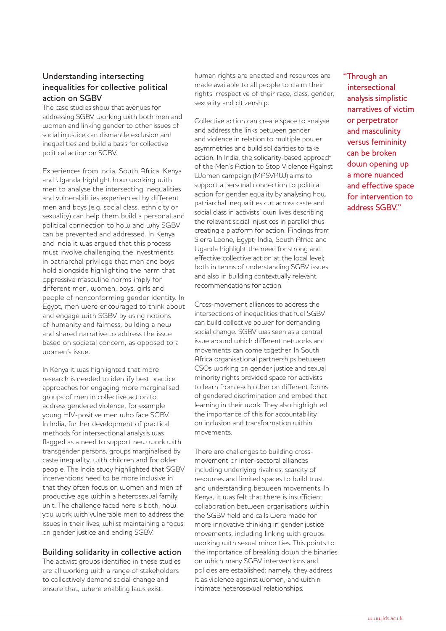# Understanding intersecting inequalities for collective political action on SGBV

The case studies show that avenues for addressing SGBV working with both men and women and linking gender to other issues of social injustice can dismantle exclusion and inequalities and build a basis for collective political action on SGBV.

Experiences from India, South Africa, Kenya and Uganda highlight how working with men to analyse the intersecting inequalities and vulnerabilities experienced by different men and boys (e.g. social class, ethnicity or sexuality) can help them build a personal and political connection to how and why SGBV can be prevented and addressed. In Kenya and India it was argued that this process must involve challenging the investments in patriarchal privilege that men and boys hold alongside highlighting the harm that oppressive masculine norms imply for different men, women, boys, girls and people of nonconforming gender identity. In Egypt, men were encouraged to think about and engage with SGBV by using notions of humanity and fairness, building a new and shared narrative to address the issue based on societal concern, as opposed to a women's issue.

In Kenya it was highlighted that more research is needed to identify best practice approaches for engaging more marginalised groups of men in collective action to address gendered violence, for example young HIV-positive men who face SGBV. In India, further development of practical methods for intersectional analysis was flagged as a need to support new work with transgender persons, groups marginalised by caste inequality, with children and for older people. The India study highlighted that SGBV interventions need to be more inclusive in that they often focus on women and men of productive age within a heterosexual family unit. The challenge faced here is both, how you work with vulnerable men to address the issues in their lives, whilst maintaining a focus on gender justice and ending SGBV.

#### Building solidarity in collective action

The activist groups identified in these studies are all working with a range of stakeholders to collectively demand social change and ensure that, where enabling laws exist,

human rights are enacted and resources are made available to all people to claim their rights irrespective of their race, class, gender, sexuality and citizenship.

Collective action can create space to analyse and address the links between gender and violence in relation to multiple power asymmetries and build solidarities to take action. In India, the solidarity-based approach of the Men's Action to Stop Violence Against Women campaign (MASVAW) aims to support a personal connection to political action for gender equality by analysing how patriarchal inequalities cut across caste and social class in activists' own lives describing the relevant social injustices in parallel thus creating a platform for action. Findings from Sierra Leone, Egypt, India, South Africa and Uganda highlight the need for strong and effective collective action at the local level; both in terms of understanding SGBV issues and also in building contextually relevant recommendations for action.

Cross-movement alliances to address the intersections of inequalities that fuel SGBV can build collective power for demanding social change. SGBV was seen as a central issue around which different networks and movements can come together. In South Africa organisational partnerships between CSOs working on gender justice and sexual minority rights provided space for activists to learn from each other on different forms of gendered discrimination and embed that learning in their work. They also highlighted the importance of this for accountability on inclusion and transformation within movements.

There are challenges to building crossmovement or inter-sectoral alliances including underlying rivalries, scarcity of resources and limited spaces to build trust and understanding between movements. In Kenya, it was felt that there is insufficient collaboration between organisations within the SGBV field and calls were made for more innovative thinking in gender justice movements, including linking with groups working with sexual minorities. This points to the importance of breaking down the binaries on which many SGBV interventions and policies are established; namely, they address it as violence against women, and within intimate heterosexual relationships.

"Through an intersectional analysis simplistic narratives of victim or perpetrator and masculinity versus femininity can be broken down opening up a more nuanced and effective space for intervention to address SGBV."